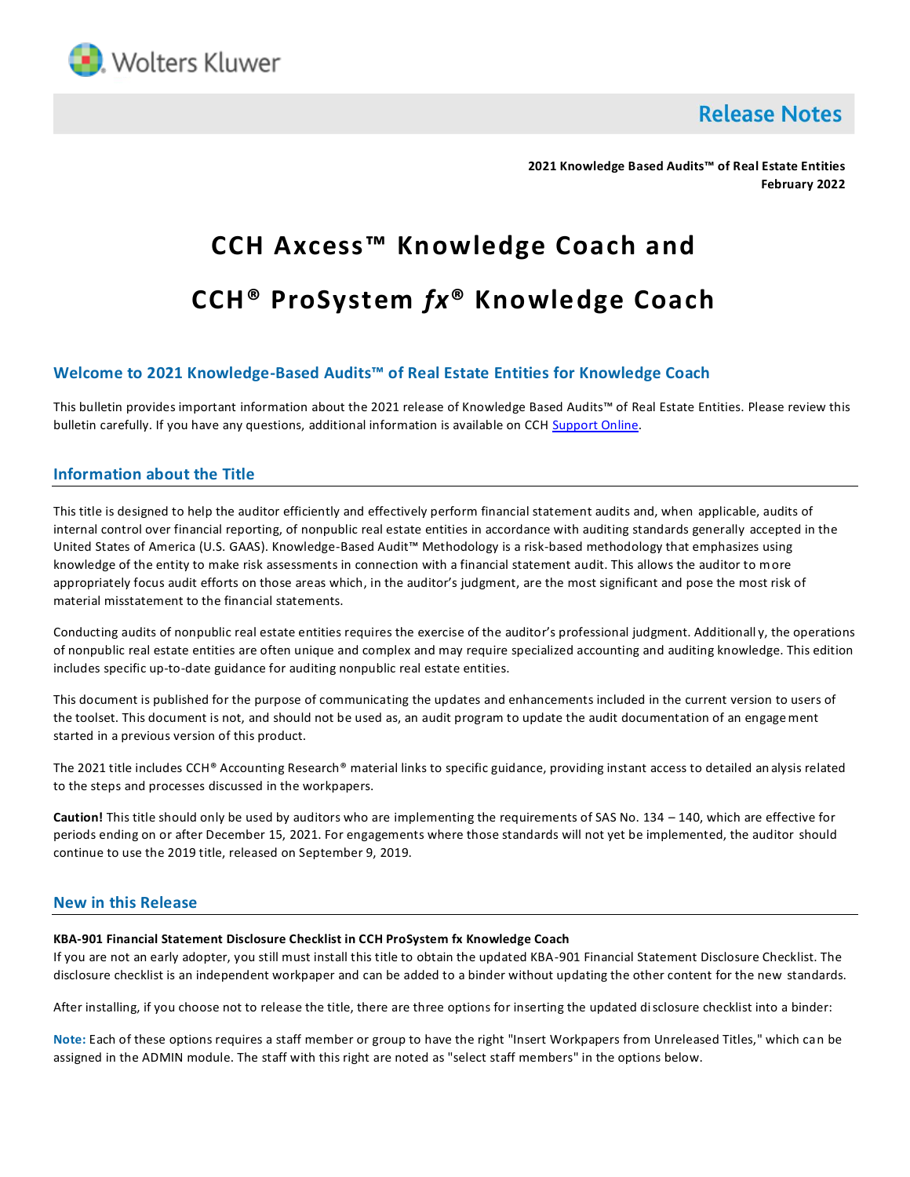

**Release Notes** 

**2021 Knowledge Based Audits™ of Real Estate Entities February 2022**

# **CCH Axcess™ Knowledge Coach and CCH® ProSystem** *fx***® Knowledge Coach**

# **Welcome to 2021 Knowledge-Based Audits™ of Real Estate Entities for Knowledge Coach**

This bulletin provides important information about the 2021 release of Knowledge Based Audits™ of Real Estate Entities. Please review this bulletin carefully. If you have any questions, additional information is available on CC[H Support Online.](http://support.cch.com/productsupport/)

## **Information about the Title**

This title is designed to help the auditor efficiently and effectively perform financial statement audits and, when applicable, audits of internal control over financial reporting, of nonpublic real estate entities in accordance with auditing standards generally accepted in the United States of America (U.S. GAAS). Knowledge-Based Audit™ Methodology is a risk-based methodology that emphasizes using knowledge of the entity to make risk assessments in connection with a financial statement audit. This allows the auditor to more appropriately focus audit efforts on those areas which, in the auditor's judgment, are the most significant and pose the most risk of material misstatement to the financial statements.

Conducting audits of nonpublic real estate entities requires the exercise of the auditor's professional judgment. Additionall y, the operations of nonpublic real estate entities are often unique and complex and may require specialized accounting and auditing knowledge. This edition includes specific up-to-date guidance for auditing nonpublic real estate entities.

This document is published for the purpose of communicating the updates and enhancements included in the current version to users of the toolset. This document is not, and should not be used as, an audit program to update the audit documentation of an engagement started in a previous version of this product.

The 2021 title includes CCH® Accounting Research® material links to specific guidance, providing instant access to detailed an alysis related to the steps and processes discussed in the workpapers.

**Caution!** This title should only be used by auditors who are implementing the requirements of SAS No. 134 – 140, which are effective for periods ending on or after December 15, 2021. For engagements where those standards will not yet be implemented, the auditor should continue to use the 2019 title, released on September 9, 2019.

## **New in this Release**

#### **KBA-901 Financial Statement Disclosure Checklist in CCH ProSystem fx Knowledge Coach**

If you are not an early adopter, you still must install this title to obtain the updated KBA-901 Financial Statement Disclosure Checklist. The disclosure checklist is an independent workpaper and can be added to a binder without updating the other content for the new standards.

After installing, if you choose not to release the title, there are three options for inserting the updated disclosure checklist into a binder:

**Note:** Each of these options requires a staff member or group to have the right "Insert Workpapers from Unreleased Titles," which can be assigned in the ADMIN module. The staff with this right are noted as "select staff members" in the options below.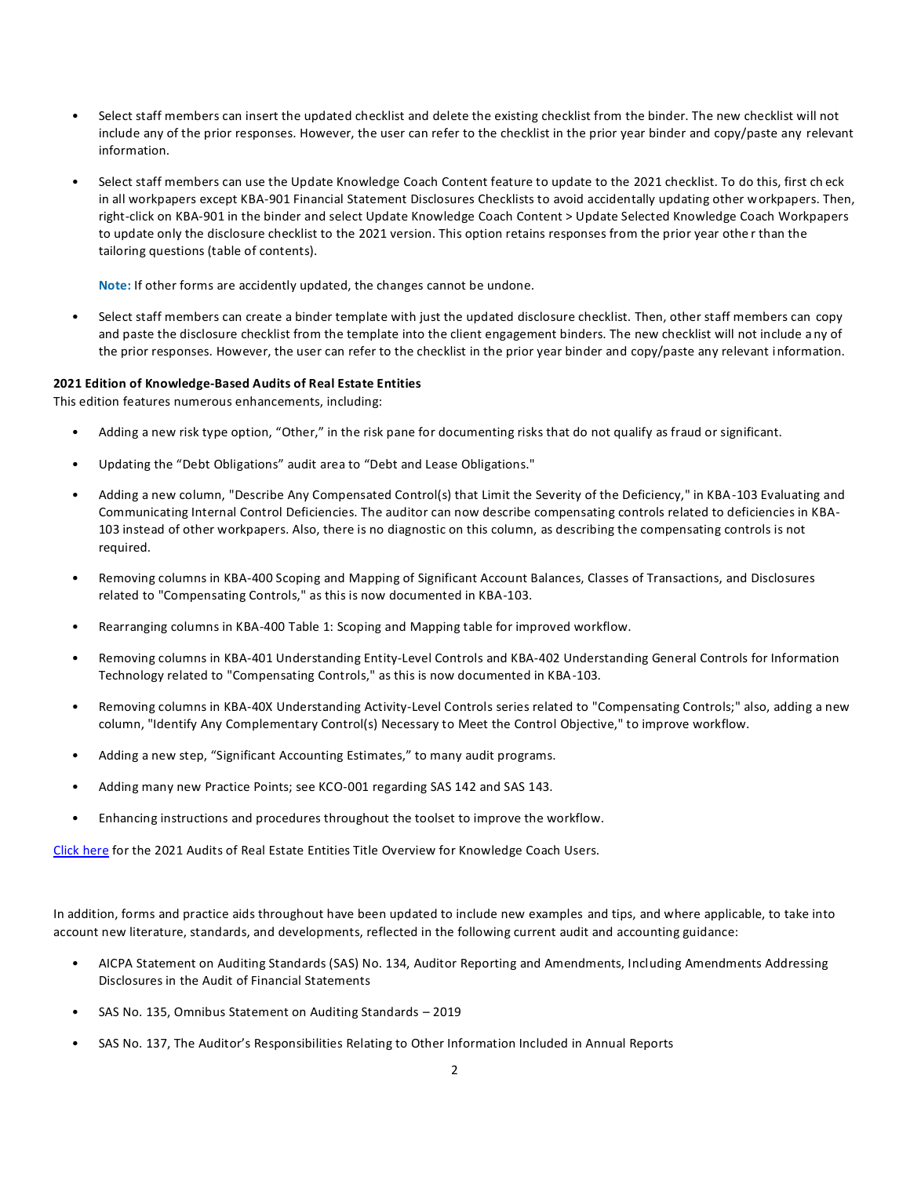- Select staff members can insert the updated checklist and delete the existing checklist from the binder. The new checklist will not include any of the prior responses. However, the user can refer to the checklist in the prior year binder and copy/paste any relevant information.
- Select staff members can use the Update Knowledge Coach Content feature to update to the 2021 checklist. To do this, first ch eck in all workpapers except KBA-901 Financial Statement Disclosures Checklists to avoid accidentally updating other workpapers. Then, right-click on KBA-901 in the binder and select Update Knowledge Coach Content > Update Selected Knowledge Coach Workpapers to update only the disclosure checklist to the 2021 version. This option retains responses from the prior year othe r than the tailoring questions (table of contents).

**Note:** If other forms are accidently updated, the changes cannot be undone.

• Select staff members can create a binder template with just the updated disclosure checklist. Then, other staff members can copy and paste the disclosure checklist from the template into the client engagement binders. The new checklist will not include a ny of the prior responses. However, the user can refer to the checklist in the prior year binder and copy/paste any relevant information.

#### **2021 Edition of Knowledge-Based Audits of Real Estate Entities**

This edition features numerous enhancements, including:

- Adding a new risk type option, "Other," in the risk pane for documenting risks that do not qualify as fraud or significant.
- Updating the "Debt Obligations" audit area to "Debt and Lease Obligations."
- Adding a new column, "Describe Any Compensated Control(s) that Limit the Severity of the Deficiency," in KBA-103 Evaluating and Communicating Internal Control Deficiencies. The auditor can now describe compensating controls related to deficiencies in KBA-103 instead of other workpapers. Also, there is no diagnostic on this column, as describing the compensating controls is not required.
- Removing columns in KBA-400 Scoping and Mapping of Significant Account Balances, Classes of Transactions, and Disclosures related to "Compensating Controls," as this is now documented in KBA-103.
- Rearranging columns in KBA-400 Table 1: Scoping and Mapping table for improved workflow.
- Removing columns in KBA-401 Understanding Entity-Level Controls and KBA-402 Understanding General Controls for Information Technology related to "Compensating Controls," as this is now documented in KBA-103.
- Removing columns in KBA-40X Understanding Activity-Level Controls series related to "Compensating Controls;" also, adding a new column, "Identify Any Complementary Control(s) Necessary to Meet the Control Objective," to improve workflow.
- Adding a new step, "Significant Accounting Estimates," to many audit programs.
- Adding many new Practice Points; see KCO-001 regarding SAS 142 and SAS 143.
- Enhancing instructions and procedures throughout the toolset to improve the workflow.

[Click here](https://d2iceilwdglxpz.cloudfront.net/KC/Overviews/2021%20Real%20Estate%20Entities%20Overview%20for%20Knowledge%20Coach.pdf) for the 2021 Audits of Real Estate Entities Title Overview for Knowledge Coach Users.

In addition, forms and practice aids throughout have been updated to include new examples and tips, and where applicable, to take into account new literature, standards, and developments, reflected in the following current audit and accounting guidance:

- AICPA Statement on Auditing Standards (SAS) No. 134, Auditor Reporting and Amendments, Including Amendments Addressing Disclosures in the Audit of Financial Statements
- SAS No. 135, Omnibus Statement on Auditing Standards 2019
- SAS No. 137, The Auditor's Responsibilities Relating to Other Information Included in Annual Reports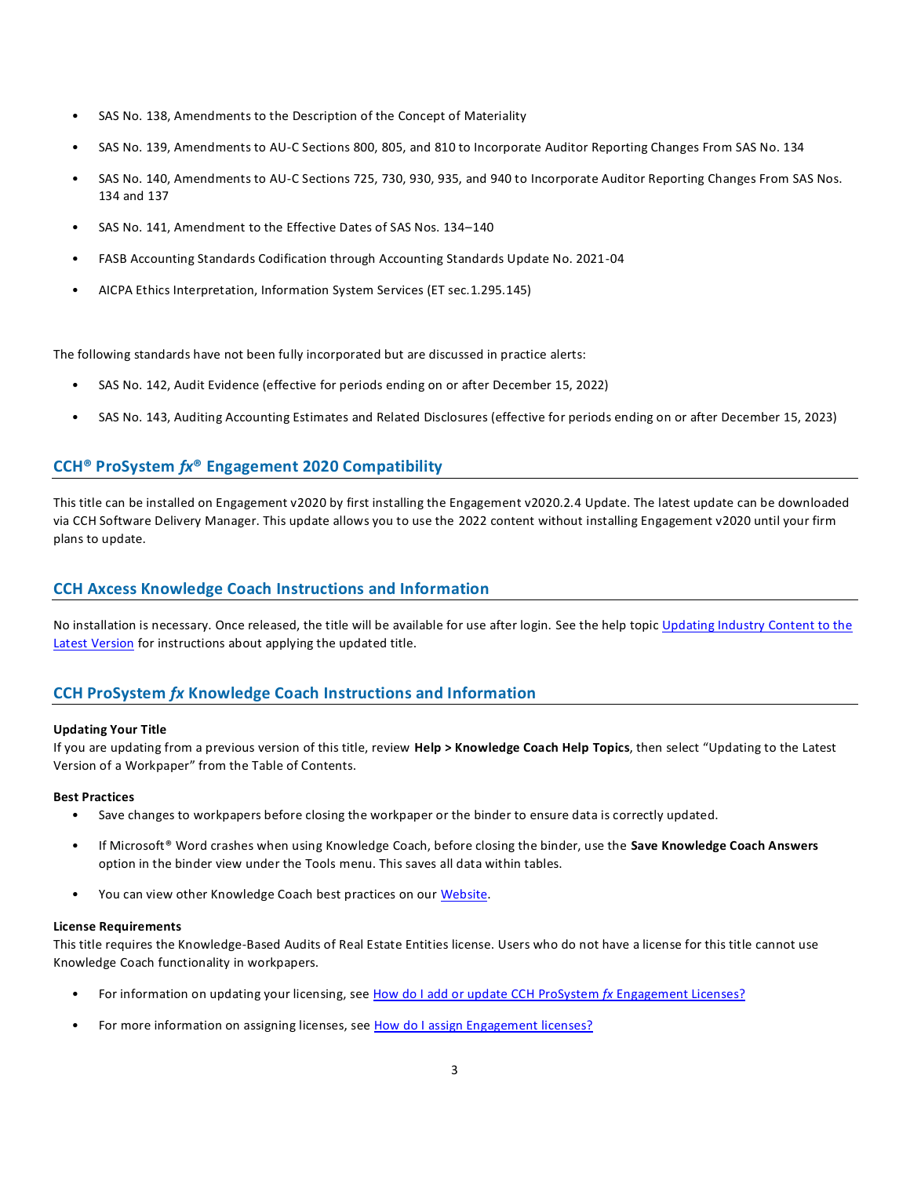- SAS No. 138, Amendments to the Description of the Concept of Materiality
- SAS No. 139, Amendments to AU-C Sections 800, 805, and 810 to Incorporate Auditor Reporting Changes From SAS No. 134
- SAS No. 140, Amendments to AU-C Sections 725, 730, 930, 935, and 940 to Incorporate Auditor Reporting Changes From SAS Nos. 134 and 137
- SAS No. 141, Amendment to the Effective Dates of SAS Nos. 134–140
- FASB Accounting Standards Codification through Accounting Standards Update No. 2021-04
- AICPA Ethics Interpretation, Information System Services (ET sec.1.295.145)

The following standards have not been fully incorporated but are discussed in practice alerts:

- SAS No. 142, Audit Evidence (effective for periods ending on or after December 15, 2022)
- SAS No. 143, Auditing Accounting Estimates and Related Disclosures (effective for periods ending on or after December 15, 2023)

# **CCH® ProSystem** *fx***® Engagement 2020 Compatibility**

This title can be installed on Engagement v2020 by first installing the Engagement v2020.2.4 Update. The latest update can be downloaded via CCH Software Delivery Manager. This update allows you to use the 2022 content without installing Engagement v2020 until your firm plans to update.

## **CCH Axcess Knowledge Coach Instructions and Information**

No installation is necessary. Once released, the title will be available for use after login. See the help topic Updating Industry Content to the [Latest Version](https://knowledgecoach.cchaxcess.com/Knowledge-Coach/Content/Engagements/Eng-Update-content.htm) for instructions about applying the updated title.

## **CCH ProSystem** *fx* **Knowledge Coach Instructions and Information**

### **Updating Your Title**

If you are updating from a previous version of this title, review **Help > Knowledge Coach Help Topics**, then select "Updating to the Latest Version of a Workpaper" from the Table of Contents.

### **Best Practices**

- Save changes to workpapers before closing the workpaper or the binder to ensure data is correctly updated.
- If Microsoft® Word crashes when using Knowledge Coach, before closing the binder, use the **Save Knowledge Coach Answers** option in the binder view under the Tools menu. This saves all data within tables.
- You can view other Knowledge Coach best practices on ou[r Website.](https://support.cch.com/kb/solution/000034942/sw34947)

### **License Requirements**

This title requires the Knowledge-Based Audits of Real Estate Entities license. Users who do not have a license for this title cannot use Knowledge Coach functionality in workpapers.

- For information on updating your licensing, see [How do I add or update CCH ProSystem](https://support.cch.com/kb/solution.aspx/sw3937) *fx* Engagement Licenses?
- For more information on assigning licenses, see [How do I assign Engagement licenses?](https://support.cch.com/kb/solution.aspx/sw3943)